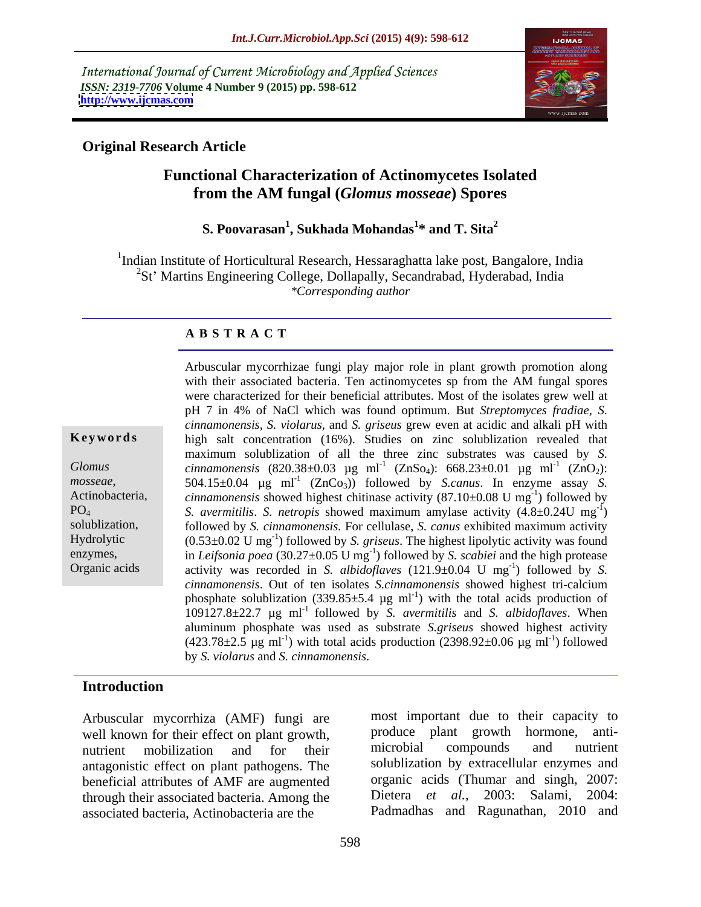International Journal of Current Microbiology and Applied Sciences *ISSN: 2319-7706* **Volume 4 Number 9 (2015) pp. 598-612 <http://www.ijcmas.com>**



## **Original Research Article**

## **Functional Characterization of Actinomycetes Isolated from the AM fungal (***Glomus mosseae***) Spores**

### **S. Poovarasan<sup>1</sup> , Sukhada Mohandas<sup>1</sup> \* and T. Sita<sup>2</sup>**

<sup>1</sup>Indian Institute of Horticultural Research, Hessaraghatta lake post, Bangalore, India  ${}^{2}$ St' Martins Engineering College, Dollapally, Secandrabad, Hyderabad, India *\*Corresponding author*

## **A B S T R A C T**

Organic acids

with their associated bacteria. Ten actinomycetes sp from the AM fungal spores were characterized for their beneficial attributes. Most of the isolates grew well at pH 7 in 4% of NaCl which was found optimum. But *Streptomyces fradiae, S. cinnamonensis, S. violarus,* and *S. griseus* grew even at acidic and alkali pH with high salt concentration (16%). Studies on zinc solublization revealed that maximum solublization of all the three zinc substrates was caused by *S. Glomus cinnamonensis*  $(820.38 \pm 0.03 \text{ µg} \text{ ml}^{-1} (ZnSo_4): 668.23 \pm 0.01 \text{ µg} \text{ ml}^{-1} (ZnO_2):$  $(ZnO<sub>2</sub>)$ : 504.15 $\pm$ 0.04 µg ml<sup>-1</sup> (ZnCo<sub>3</sub>)) followed by *S.canus*. In enzyme assay *S. mosseae*, 504.15±0.04 µg ml<sup>-1</sup> (ZnCo<sub>3</sub>)) followed by *S.canus*. In enzyme assay *S.*<br>Actinobacteria, *cinnamonensis* showed highest chitinase activity (87.10±0.08 U mg<sup>-1</sup>) followed by  $-1$  followed by ) followed by *S. avermitilis*. *S. netropis* showed maximum amylase activity (4.8±0.24U mg PO4  $-1$  $)$ followed by *S. cinnamonensis.* For cellulase, *S. canus* exhibited maximum activity solublization, Hydrolytic  $(0.53 \pm 0.02 \text{ U mg}^{-1})$  followed by *S. griseus*. The highest lipolytic activity was found enzymes, in *Leifsonia poea* (30.27 $\pm$ 0.05 U mg<sup>-1</sup>) followed by *S. scabiei* and the high protease activity was recorded in *S. albidoflaves*  $(121.9\pm0.04 \text{ U} \text{ mg}^{-1})$  followed by *S.*  $-1$  followed by  $S$ ) followed by *S. cinnamonensis*. Out of ten isolates *S.cinnamonensis* showed highest tri-calcium phosphate solublization (339.85 $\pm$ 5.4 µg ml<sup>-1</sup>) with the total acids production of  $109127.8\pm22.7$   $\mu$ g ml<sup>-1</sup> followed by *S. avermitilis* and *S. albidoflaves*. When aluminum phosphate was used as substrate *S.griseus* showed highest activity  $(423.78\pm2.5 \text{ µg m}^{-1})$  with total acids production  $(2398.92\pm0.06 \text{ µg m}^{-1})$  followed ) followed **Keywords**<br>
high salt concentration (16%). Studies on zinc solublization revealed that<br>
maximum solublization of all the three zinc substrates was caused by *S.*<br> *cinnamonensis* (820.38±0.03 µg m<sup>11</sup> (ZnGo<sub>2</sub>): 668.23±0.

Arbuscular mycorrhizae fungi play major role in plant growth promotion along

## **Introduction**

Arbuscular mycorrhiza (AMF) fungi are well known for their effect on plant growth, antagonistic effect on plant pathogens. The beneficial attributes of AMF are augmented organic acids (Theorem is through their associated bacteria. Among the Dietera *et al.* through their associated bacteria. Among the associated bacteria, Actinobacteria are the

nutrient mobilization and for their microbial compounds and nutrient most important due to their capacity to produce plant growth hormone, anti microbial compounds and nutrient solublization by extracellular enzymes and organic acids (Thumar and singh, 2007: 2003: Salami, 2004: Padmadhas and Ragunathan, 2010 and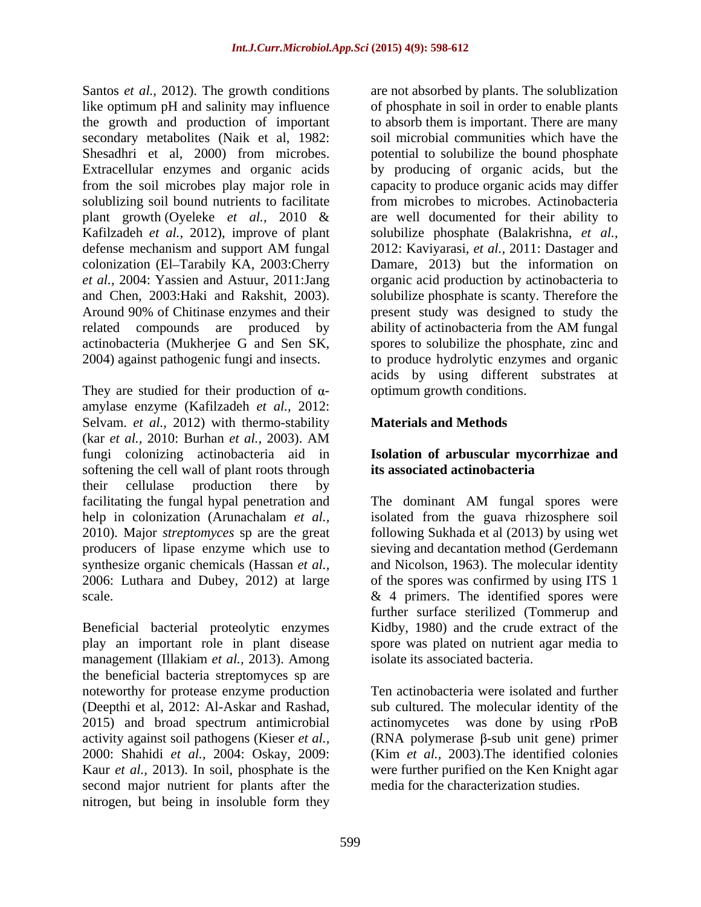the growth and production of important colonization (El-Tarabily KA, 2003:Cherry related compounds are produced by ability of actinobacteria from the AM fungal

They are studied for their production of  $\alpha$ amylase enzyme (Kafilzadeh *et al.,* 2012: Selvam. *et al.,* 2012) with thermo-stability (kar *et al.,* 2010: Burhan *et al.,* 2003). AM fungi colonizing actinobacteria aid in **Isolation of arbuscular mycorrhizae and**  softening the cell wall of plant roots through its associated actinobacteria their cellulase production there by facilitating the fungal hypal penetration and The dominant AM fungal spores were

Beneficial bacterial proteolytic enzymes play an important role in plant disease management (Illakiam *et al.,* 2013). Among the beneficial bacteria streptomyces sp are noteworthy for protease enzyme production<br>(Deepthi et al. 2012: Al-Askar and Rashad. (Deepthi et al, 2012: Al-Askar and Rashad, sub cultured. The molecular identity of the 2015) and broad spectrum antimicrobial actinomycetes was done by using rPoB activity against soil pathogens (Kieser *et al.*,  $\qquad \qquad$  (RNA polymerase  $\beta$ -sub unit gene) primer 2000: Shahidi *et al.,* 2004: Oskay, 2009: Kaur *et al.,* 2013). In soil, phosphate is the were further purified on the Ken Knight agar second major nutrient for plants after the nitrogen, but being in insoluble form they

Santos *et al.*, 2012). The growth conditions are not absorbed by plants. The solublization like optimum pH and salinity may influence of phosphate in soil in order to enable plants secondary metabolites (Naik et al, 1982: soil microbial communities which have the Shesadhri et al, 2000) from microbes. potential to solubilize the bound phosphate Extracellular enzymes and organic acids by producing of organic acids, but the from the soil microbes play major role in capacity to produce organic acids may differ solublizing soil bound nutrients to facilitate from microbes to microbes. Actinobacteria plant growth (Oyeleke *et al.,* 2010 & are well documented for their ability to Kafilzadeh *et al.,* 2012), improve of plant solubilize phosphate (Balakrishna, *et al.,* defense mechanism and support AM fungal 2012: Kaviyarasi, et al., 2011: Dastager and *et al.,* 2004: Yassien and Astuur, 2011:Jang organic acid production by actinobacteria to and Chen, 2003:Haki and Rakshit, 2003). Solubilize phosphate is scanty. Therefore the Around 90% of Chitinase enzymes and their present study was designed to study the actinobacteria (Mukherjee G and Sen SK, spores to solubilize the phosphate, zinc and 2004) against pathogenic fungi and insects. to produce hydrolytic enzymes and organic to absorb them is important. There are many 2012: Kaviyarasi, *et al.,* 2011: Dastager and Damare, 2013) but the information on solubilize phosphate is scanty. Therefore the present study was designed to study the ability of actinobacteria from the AM fungal acids by using different substrates at optimum growth conditions.

## **Materials and Methods**

# **its associated actinobacteria**

help in colonization (Arunachalam *et al.,* isolated from the guava rhizosphere soil 2010). Major *streptomyces* sp are the great following Sukhada et al (2013) by using wet producers of lipase enzyme which use to sieving and decantation method (Gerdemann synthesize organic chemicals (Hassan *et al.*, and Nicolson, 1963). The molecular identity 2006: Luthara and Dubey, 2012) at large of the spores was confirmed by using ITS 1 scale.  $\&$  4 primers. The identified spores were The dominant AM fungal spores were further surface sterilized (Tommerup and Kidby, 1980) and the crude extract of the spore was plated on nutrient agar media to isolate its associated bacteria.

> Ten actinobacteria were isolated and further (Kim *et al.,* 2003).The identified colonies media for the characterization studies.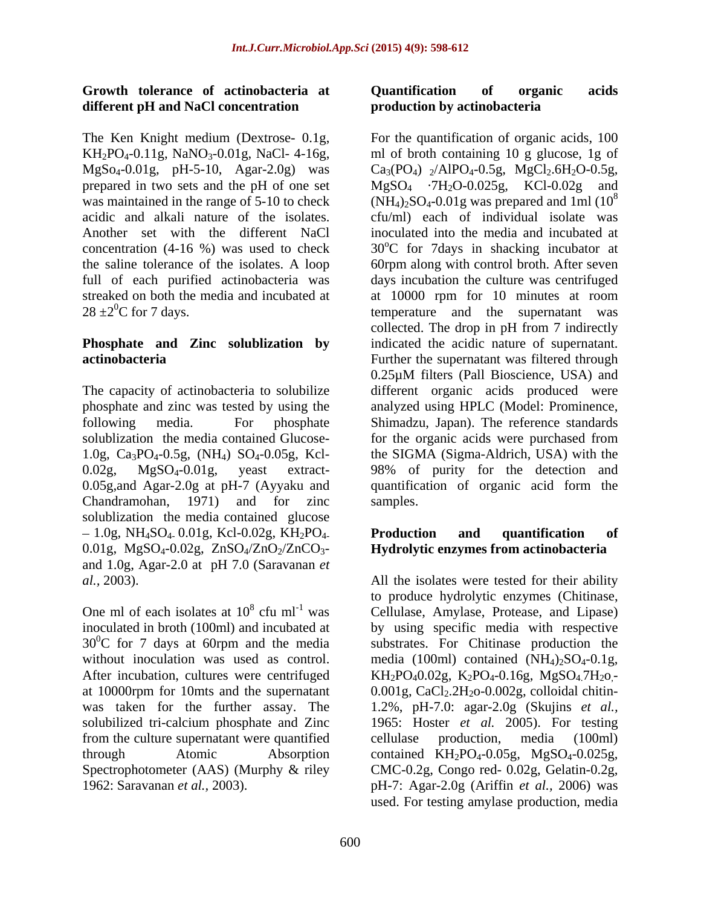## **Growth tolerance of actinobacteria at different pH and NaCl concentration**

solublization the media contained Glucose- for the organic acids were purchased from Chandramohan, 1971) and for zinc solublization the media contained glucose  $-1.0$ g, NH<sub>4</sub>SO<sub>4</sub>. 0.01g, Kcl-0.02g, KH<sub>2</sub>PO<sub>4</sub> Production and quantification of 0.01g,  $MgSO_4-0.02g$ ,  $ZnSO_4/ZnO_2/ZnCO_3$ and 1.0g, Agar-2.0 at pH 7.0 (Saravanan *et* 

solubilized tri-calcium phosphate and Zinc from the culture supernatant were quantified cellulase production. media (100ml) Spectrophotometer (AAS) (Murphy & riley

## **Quantification of organic acids production by actinobacteria**

The Ken Knight medium (Dextrose- 0.1g, For the quantification of organic acids, 100  $KH_2PO_4-0.11g$ ,  $NaNO_3-0.01g$ ,  $NaCl-4-16g$ , and of broth containing 10 g glucose, 1g of  $MgSo_4-0.01g$ , pH-5-10, Agar-2.0g) was  $Ca_3(PO_4)$   $_2/AlPO_4-0.5g$ ,  $MgCl_2.6H_2O-0.5g$ , prepared in two sets and the pH of one set  $MgSO_4$   $-7H_2O-0.025g$ , KCl-0.02g and was maintained in the range of 5-10 to check  $(NH_4)_2SO_4-0.01g$  was prepared and 1ml (10<sup>8</sup> acidic and alkali nature of the isolates. cfu/ml) each of individual isolate was Another set with the different NaCl inoculated into the media and incubated at concentration (4-16 %) was used to check  $30^{\circ}$ C for 7days in shacking incubator at the saline tolerance of the isolates. A loop 60rpm along with control broth. After seven full of each purified actinobacteria was days incubation the culture was centrifuged streaked on both the media and incubated at at 10000 rpm for 10 minutes at room  $28 \pm 2^0$ C for 7 days. temperature and the supernatant was **Phosphate and Zinc solublization by** indicated the acidic nature of supernatant. **actinobacteria action** Further the supernatant was filtered through The capacity of actinobacteria to solubilize different organic acids produced were phosphate and zinc was tested by using the analyzed using HPLC (Model: Prominence, following media. For phosphate Shimadzu, Japan). The reference standards 1.0g, Ca3PO4-0.5g, (NH4) SO4-0.05g, Kcl- the SIGMA (Sigma-Aldrich, USA) with the 0.02g, MgSO4-0.01g, yeast extract- 98% of purity for the detection and 0.05g,and Agar-2.0g at pH-7 (Ayyaku and quantification of organic acid form the collected. The drop in pH from 7 indirectly 0.25µM filters (Pall Bioscience, USA) and for the organic acids were purchased from samples.

## **Production and quantification of Hydrolytic enzymes from actinobacteria**

*al.,* 2003). All the isolates were tested for their ability One ml of each isolates at  $10^8$  cfu ml<sup>-1</sup> was Cellulase, Amylase, Protease, and Lipase) inoculated in broth (100ml) and incubated at by using specific media with respective  $30^0$ C for 7 days at 60rpm and the media substrates. For Chitinase production the without inoculation was used as control. media  $(100ml)$  contained  $(NH<sub>4</sub>)<sub>2</sub>SO<sub>4</sub>-0.1g$ , After incubation, cultures were centrifuged  $KH_2PO_40.02g$ ,  $K_2PO_4-0.16g$ ,  $MgSO_4.7H_2O$ , at 10000rpm for 10mts and the supernatant  $0.001g$ , CaCl<sub>2</sub>.2H<sub>2</sub>o-0.002g, colloidal chitinwas taken for the further assay. The 1.2%, pH-7.0: agar-2.0g (Skujins *et al.,* through Atomic Absorption contained KH<sub>2</sub>PO<sub>4</sub>-0.05g, MgSO<sub>4</sub>-0.025g, 1962: Saravanan *et al.,* 2003). pH-7: Agar-2.0g (Ariffin *et al.,* 2006) was to produce hydrolytic enzymes (Chitinase, substrates. For Chitinase production the 1965: Hoster *et al.* 2005). For testing cellulase production, media (100ml) CMC-0.2g, Congo red- 0.02g, Gelatin-0.2g, used. For testing amylase production, media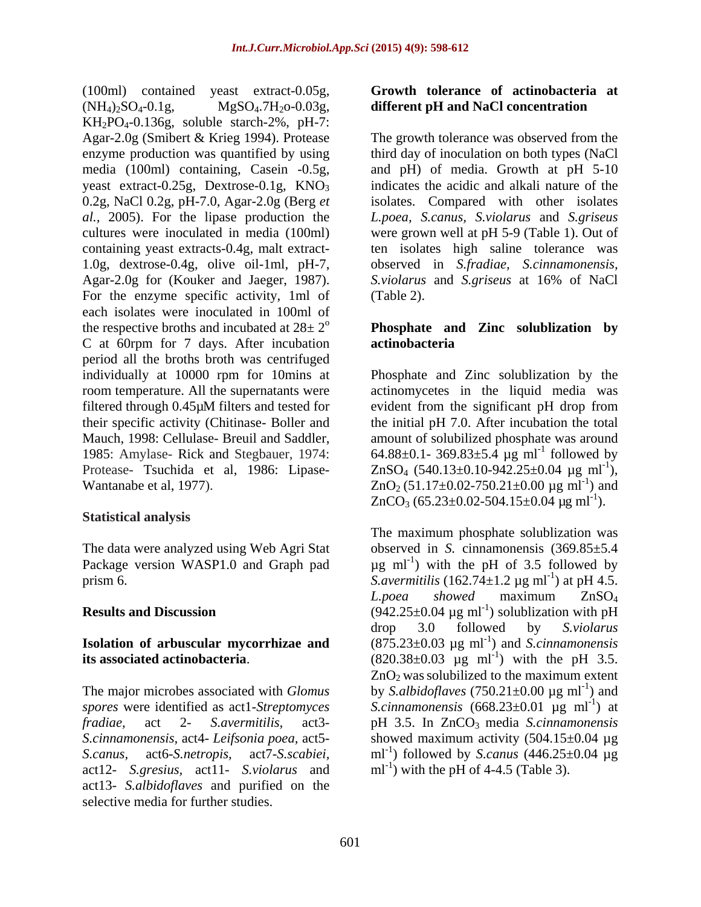(100ml) contained yeast extract-0.05g,  $(NH_4)_2SO_4$ -0.1g,  $MgSO_4$ -7 $H_2$ o-0.03g, **different pH and NaCl concentration**  $KH<sub>2</sub>PO<sub>4</sub>-0.136g$ , soluble starch-2%, pH-7: media (100ml) containing, Casein -0.5g, 0.2g, NaCl 0.2g, pH-7.0, Agar-2.0g (Berg *et*  cultures were inoculated in media (100ml) 1.0g, dextrose-0.4g, olive oil-1ml, pH-7, Agar-2.0g for (Kouker and Jaeger, 1987). S.violarus and S. griseus at 16% of NaCl For the enzyme specific activity, 1ml of (Table 2). each isolates were inoculated in 100ml of the respective broths and incubated at  $28 \pm 2^{\circ}$  **Phosphate** and **Zinc** solublization by C at 60rpm for 7 days. After incubation period all the broths broth was centrifuged individually at 10000 rpm for 10mins at Phosphate and Zinc solublization by the room temperature. All the supernatants were actinomycetes in the liquid media was filtered through 0.45µM filters and tested for evident from the significant pH drop from their specific activity (Chitinase- Boller and the initial pH 7.0. After incubation the total Mauch, 1998: Cellulase- Breuil and Saddler, amount of solubilized phosphate was around 1985: Amylase- Rick and Stegbauer, 1974:  $64.88 \pm 0.1 - 369.83 \pm 5.4 \text{ µg} \text{ ml}^{-1}$  followed by Protease- Tsuchida et al, 1986: Lipase-  $ZnSO_4$  (540.13±0.10-942.25±0.04 µg ml<sup>-1</sup>), Wantanabe et al, 1977).  $ZnO_2 (51.17 \pm 0.02 - 750.21 \pm 0.00 \mu g m l^{-1})$  and

## **Statistical analysis**

act12- *S.gresius,* act11- *S.violarus* and act13- *S.albidoflaves* and purified on the selective media for further studies.

## **Growth tolerance of actinobacteria at**

Agar-2.0g (Smibert & Krieg 1994). Protease The growth tolerance was observed from the enzyme production was quantified by using third day of inoculation on both types (NaCl yeast extract-0.25g, Dextrose-0.1g,  $KNO_3$  indicates the acidic and alkali nature of the *al.,* 2005). For the lipase production the *L.poea, S.canus, S.violarus* and *S.griseus*  containing yeast extracts-0.4g, malt extract- ten isolates high saline tolerance was and pH) of media. Growth at pH 5-10 isolates. Compared with other isolates were grown well at pH 5-9 (Table 1). Out of observed in *S.fradiae, S.cinnamonensis, S.violarus* and *S.griseus* at 16% of NaCl (Table 2).

## **actinobacteria**

followed by ), ) and  $ZnCO_3$  (65.23±0.02-504.15±0.04 µg ml<sup>-1</sup>). ).

The data were analyzed using Web Agri Stat observed in *S.* cinnamonensis (369.85±5.4 Package version WASP1.0 and Graph pad  $\mu$ g ml<sup>-1</sup>) with the pH of 3.5 followed by prism 6.  $S. *avermitilis*$  (162.74±1.2 µg ml<sup>-1</sup>) at pH 4.5. **Results and Discussion**  $(942.25 \pm 0.04 \mu g \text{ ml}^{-1})$  solublization with pH **Isolation of arbuscular mycorrhizae and**  $(875.23 \pm 0.03 \text{ µg ml}^{-1})$  and *S.cinnamonensis* **its associated actinobacteria.** (820.38 $\pm$ 0.03  $\mu$ g ml<sup>-1</sup>) with the pH 3.5. The major microbes associated with *Glomus* by *S.albidoflaves* (750.21±0.00 μg ml<sup>-1</sup>) and *spores* were identified as act1-*Streptomyces S.cinnamonensis* (668.23±0.01 µg ml-1 *fradiae,* act 2- *S.avermitilis,* act3- pH 3.5. In ZnCO3 media *S.cinnamonensis S.cinnamonensis,* act4- *Leifsonia poea,* act5- showed maximum activity (504.15±0.04 µg *S.canus,* act6-*S.netropis,* act7-*S.scabiei,* ml-1 ) followed by *S.canus* (446.25±0.04 µg The maximum phosphate solublization was ) at pH 4.5. *L.poea showed* maximum ZnSO4 ) solublization with pH drop 3.0 followed by *S.violarus* ) with the pH 3.5.  $ZnO<sub>2</sub>$  was solubilized to the maximum extent ) and ) at  $ml^{-1}$ ) with the pH of 4-4.5 (Table 3).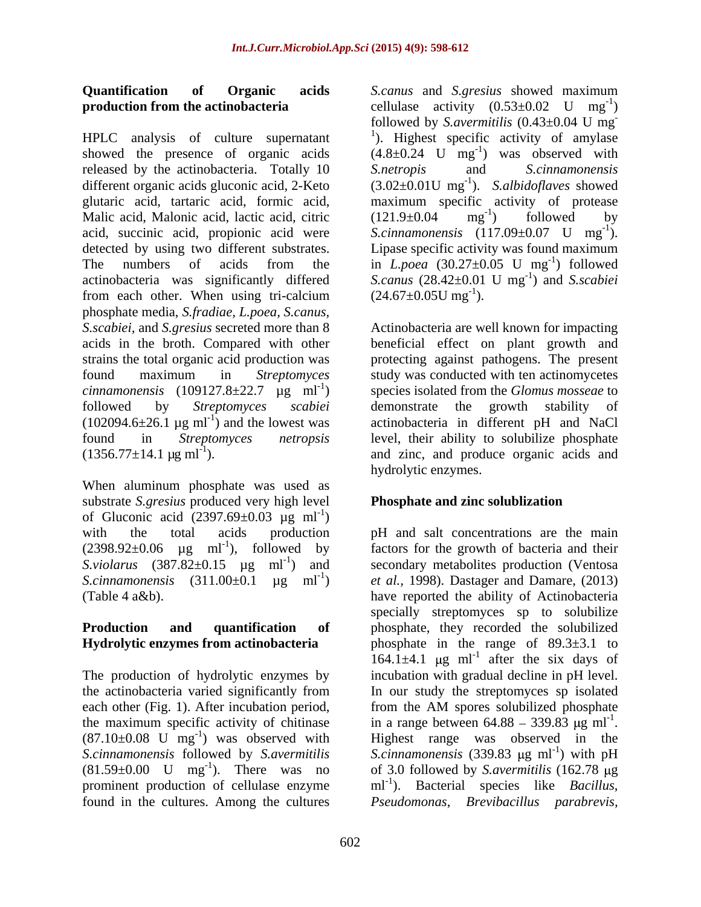HPLC analysis of culture supernatant showed the presence of organic acids  $(4.8\pm0.24 \text{ U} \text{ mg}^{-1})$  was observed with released by the actinobacteria. Totally 10 S.netropis and S.cinnamonensis different organic acids gluconic acid, 2-Keto  $(3.02 \pm 0.01U \text{ mg}^{-1})$ . S.albidoflaves showed glutaric acid, tartaric acid, formic acid, maximum specific activity of protease Malic acid, Malonic acid, lactic acid, citric  $(121.9\pm0.04 \text{ mg}^{-1})$  followed by acid, succinic acid, propionic acid were detected by using two different substrates. Lipase specific activity was found maximum The numbers of acids from the in *L.poea*  $(30.27 \pm 0.05 \text{ U mg}^{-1})$  followed actinobacteria was significantly differed *S.canus* (28.42±0.01 U mg from each other. When using tri-calcium  $(24.67 \pm 0.05 \text{U m} \text{g}^{-1})$ . phosphate media, *S.fradiae, L.poea, S.canus, S.scabiei,* and *S.gresius* secreted more than 8 (102094.6 $\pm$ 26.1 µg ml<sup>-1</sup>) and the lowest was<br>found in *Streptomyces netropsis* 

When aluminum phosphate was used as substrate *S.gresius* produced very high level of Gluconic acid  $(2397.69 \pm 0.03 \text{ kg} \text{ ml}^{-1})$ ) and the contract of  $\mathcal{L}$ 

# **Hydrolytic enzymes from actinobacteria**

each other (Fig. 1). After incubation period, from the AM spores solubilized phosphate found in the cultures. Among the cultures

**Quantification of Organic acids** *S.canus* and *S.gresius* showed maximum **production from the actinobacteria** cellulase activity  $(0.53\pm0.02 \text{ U} \text{ mg}^{-1})$  $-1$  $)$ followed by *S.avermitilis* (0.43±0.04 U mg **-** Construction of the construction <sup>1</sup>). Highest specific activity of amylase ) was observed with *S.netropis* and *S.cinnamonensis*  ). *S.albidoflaves* showed  $(121.9\pm0.04 \text{ mg}^{-1})$  followed by  $-1$  followed by ) followed by *S.cinnamonensis* (117.09±0.07 U mg<sup>-1</sup>).  $-1$ <sup>2</sup> ).  $\text{-}1$  followed ) followed  $^{-1}$  and Second is ) and *S.scabiei*   $(24.67\pm0.05$ U mg<sup>-1</sup>). ).

acids in the broth. Compared with other beneficial effect on plant growth and strains the total organic acid production was protecting against pathogens. The present found maximum in *Streptomyces*  study was conducted with ten actinomycetes  $c$ *innamonensis* (109127.8 $\pm$ 22.7  $\mu$ g ml<sup>-1</sup>) species isolated from the *Glomus mosseae* to followed by *Streptomyces scabiei* ) and the lowest was actinobacteria in different pH and NaCl found in *Streptomyces netropsis* level, their ability to solubilize phosphate  $(1356.77 \pm 14.1 \text{ µg m}$ <sup>1</sup>). and zinc, and produce organic acids and Actinobacteria are well known for impacting demonstrate the growth stability of hydrolytic enzymes.

## **Phosphate and zinc solublization**

with the total acids production pH and salt concentrations are the main  $(2398.92\pm0.06$   $\mu$ g ml<sup>-1</sup>), followed by factors for the growth of bacteria and their  $S. violarus$   $(387.82 \pm 0.15 \text{ µg} \text{ ml}^{-1})$  and secondary metabolites production (Ventosa S.cinnamonensis  $(311.00\pm0.1 \text{ µg} \text{ ml}^{-1})$  *et al.,* 1998). Dastager and Damare,  $(2013)$ (Table 4 a&b). have reported the ability of Actinobacteria **Production and quantification of** phosphate, they recorded the solubilized The production of hydrolytic enzymes by incubation with gradual decline in pH level. the actinobacteria varied significantly from In our study the streptomyces sp isolated the maximum specific activity of chitinase in a range between  $64.88 - 339.83 \mu g \text{ ml}^{-1}$ .  $(87.10\pm0.08 \text{ U} \text{ mg}^{-1})$  was observed with Highest range was observed in the S.cinnamonensis followed by *S.avermitilis* S.cinnamonensis (339.83 µg ml<sup>-1</sup>) with pH  $(81.59\pm0.00 \text{ U} \text{ mg}^{-1})$ . There was no of 3.0 followed by *S.avermitilis*  $(162.78 \text{ µg})$ prominent production of cellulase enzyme  $ml^{-1}$ ). Bacterial species like *Bacillus*, specially streptomyces sp to solubilize phosphate in the range of  $89.3\pm3.1$  to  $164.1 \pm 4.1$  µg ml<sup>-1</sup> after the six days of after the six days of from the AM spores solubilized phosphate in a range between  $64.88 - 339.83 \mu g \text{ ml}^{-1}$ .<br>Highest range was observed in the ) with pH *Pseudomonas*, *Brevibacillus parabrevis,*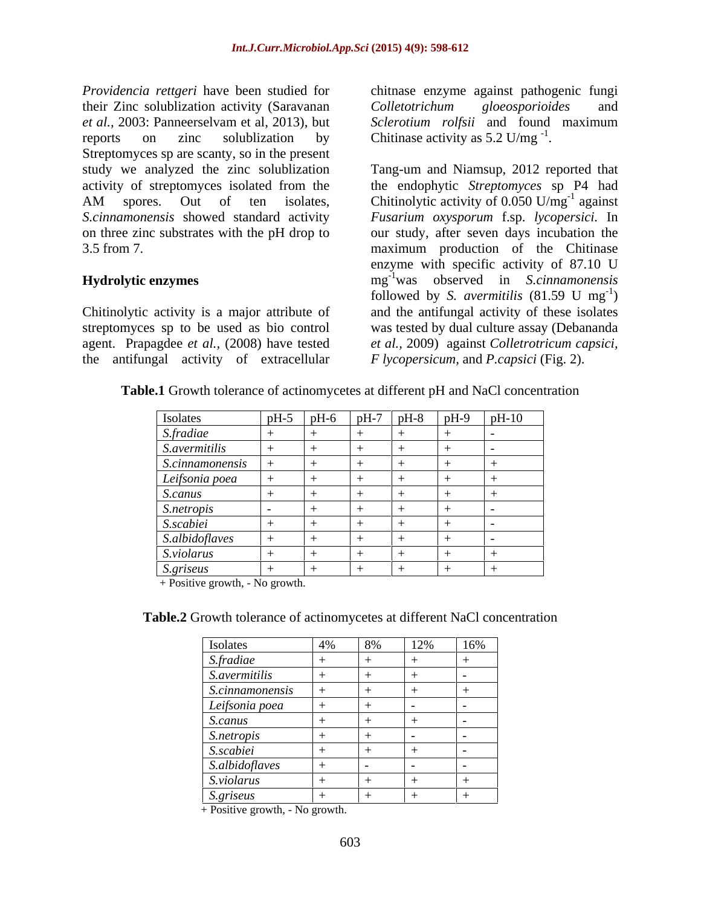*Providencia rettgeri* have been studied for chitnase enzyme against pathogenic fungi their Zinc solublization activity (Saravanan Colletotrichum gloeosporioides and *et al.,* 2003: Panneerselvam et al, 2013), but reports on zinc solublization by Chitinase activity as  $5.2 \text{ U/mg}^{-1}$ . Streptomyces sp are scanty, so in the present study we analyzed the zinc solublization Tang-um and Niamsup, 2012 reported that

the antifungal activity of extracellular

*Colletotrichum gloeosporioides* and *Sclerotium rolfsii* and found maximum

activity of streptomyces isolated from the the endophytic *Streptomyces* sp P4 had AM spores. Out of ten isolates, Chitinolytic activity of  $0.050 \text{ U/mg}^{-1}$  against *S.cinnamonensis* showed standard activity *Fusarium oxysporum* f.sp. *lycopersici.* In on three zinc substrates with the pH drop to our study, after seven days incubation the 3.5 from 7. maximum production of the Chitinase **Hydrolytic enzymes** mg -1 was observed in *S.cinnamonensis* Chitinolytic activity is a major attribute of and the antifungal activity of these isolates streptomyces sp to be used as bio control was tested by dual culture assay (Debananda agent. Prapagdee *et al.,* (2008) have tested *et al.,* 2009) against *Colletrotricum capsici,* Chitinase activity as 5.2 U/mg $^{-1}$ .<br>Tang-um and Niamsup, 2012 reported that  $^{-1}$  expirat against enzyme with specific activity of 87.10 U followed by *S. avermitilis*  $(81.59 \text{ U} \text{ mg}^{-1})$  $-1$  $)$ *F lycopersicum,* and *P.capsici* (Fig. 2).

| Isolates                                 | $  pH-5$ |  | pH-6   pH-7   pH-8   pH-9   pH-10 |  |
|------------------------------------------|----------|--|-----------------------------------|--|
| <i>S.fradiae</i><br><i>S.avermitilis</i> |          |  |                                   |  |
|                                          |          |  |                                   |  |
| S.cinnamonensis                          |          |  |                                   |  |
|                                          |          |  |                                   |  |
| Leifsonia poea<br>S.canus                |          |  |                                   |  |
|                                          |          |  |                                   |  |
| S.netropis<br>S.scabiei                  |          |  |                                   |  |
| S.albidoflaves                           |          |  |                                   |  |
| S.violarus                               |          |  |                                   |  |
| S.griseus                                |          |  |                                   |  |

**Table.1** Growth tolerance of actinomycetes at different pH and NaCl concentration

+ Positive growth, - No growth.

| Table.2 Growth tolerance of actinomycetes at different NaCl | concentration |  |  |
|-------------------------------------------------------------|---------------|--|--|
|                                                             |               |  |  |

|                                                                             |  | 12% | 16%          |
|-----------------------------------------------------------------------------|--|-----|--------------|
|                                                                             |  |     |              |
|                                                                             |  |     |              |
|                                                                             |  |     | $\mathbf{I}$ |
|                                                                             |  |     |              |
| Isolates<br>S.fradiae<br>S.avermitilis<br>S.cinnamonensis<br>Leifsonia poea |  |     |              |
| S.canus                                                                     |  | $+$ | $\mathbf{I}$ |
|                                                                             |  |     |              |
|                                                                             |  |     |              |
|                                                                             |  |     |              |
|                                                                             |  |     |              |
| S.netropis<br>S.scabiei<br>S.albidoflaves<br>S.violarus<br>S.griseus        |  | $+$ |              |

+ Positive growth, - No growth.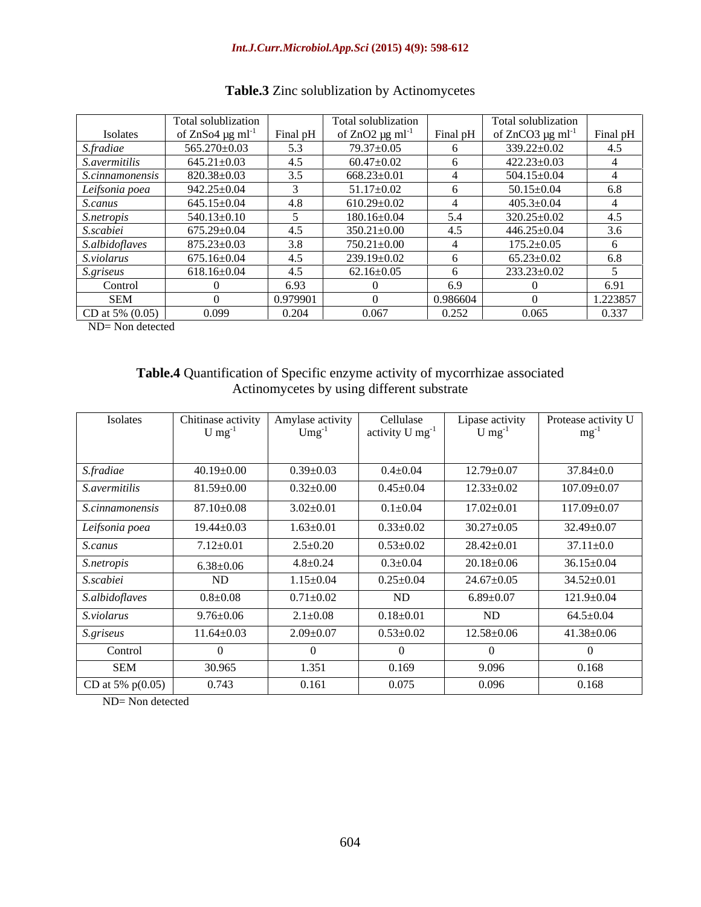### *Int.J.Curr.Microbiol.App.Sci* **(2015) 4(9): 598-612**

|                      | Total solublization               |          | Total solublization              |          | Total solublization               |          |
|----------------------|-----------------------------------|----------|----------------------------------|----------|-----------------------------------|----------|
| Isolates             | of $ZnSo4 \mu g$ ml <sup>-1</sup> | Final pH | of $ZnO2 \mu g$ ml <sup>-1</sup> | Final pH | of $ZnCO3 \mu g$ ml <sup>-1</sup> | Final pH |
| S.fradiae            | 565.270±0.03                      | 5.3      | 79.37±0.05                       |          | 339.22±0.02                       | 4.5      |
| <i>S.avermitilis</i> | $645.21 \pm 0.03$                 | 4.5      | $60.47 \pm 0.02$                 |          | $422.23 \pm 0.03$                 |          |
| S.cinnamonensis      | 820.38±0.03                       | 3.5      | $668.23 \pm 0.01$                |          | 504.15±0.04                       |          |
| Leifsonia poea       | $942.25 \pm 0.04$                 |          | $51.17 \pm 0.02$                 |          | $50.15 \pm 0.04$                  |          |
| <i>S.canus</i>       | $645.15 \pm 0.04$                 | 4.8      | $610.29 \pm 0.02$                |          | $405.3 \pm 0.04$                  |          |
| S.netropis           | $540.13 \pm 0.10$                 |          | 180.16±0.04                      | $\sim$   | 320.25±0.02                       |          |
| S.scabiei            | $675.29 \pm 0.04$                 | 4.5      | $350.21 \pm 0.00$                |          | 446.25±0.04                       | 3 $61$   |
| S.albidoflaves       | $875.23 \pm 0.03$                 | 3.8      | 750.21±0.00                      |          | $175.2 \pm 0.05$                  |          |
| S.violarus           | $675.16 \pm 0.04$                 | 4.5      | 239.19±0.02                      |          | $65.23 \pm 0.02$                  | 68       |
| <i>S.griseus</i>     | $618.16 \pm 0.04$                 | 4.5      | $62.16 \pm 0.05$                 |          | $233.23 \pm 0.02$                 |          |
| Control              |                                   | 6.93     |                                  |          |                                   |          |
| SEM                  |                                   | 0.979901 |                                  | 0.986604 |                                   | 1.223857 |
| CD at 5% $(0.05)$    | 0.099                             | 0.204    | 0.067                            | 0.252    | 0.065                             | 0.337    |

## **Table.3** Zinc solublization by Actinomycetes

ND= Non detected

## **Table.4** Quantification of Specific enzyme activity of mycorrhizae associated Actinomycetes by using different substrate

| Isolates               | Chitinase activity   Amylase activity<br>$\cup$ mg <sup>-1</sup> | $Umg^{-1}$      | Cellulase<br>activity U mg <sup>-1</sup> | Lipase activity<br>$\log$ | Protease activity U<br>mg |
|------------------------|------------------------------------------------------------------|-----------------|------------------------------------------|---------------------------|---------------------------|
|                        |                                                                  |                 |                                          |                           |                           |
| S.fradiae              | $40.19 \pm 0.00$                                                 | $0.39 \pm 0.03$ | $0.4{\pm}0.04$                           | $12.79 \pm 0.07$          | $37.84 \pm 0.0$           |
| <i>S.avermitilis</i>   | $81.59 {\pm} 0.00$                                               | $0.32{\pm}0.00$ | $0.45 \pm 0.04$                          | $12.33 \pm 0.02$          | $107.09 \pm 0.07$         |
| <i>S.cinnamonensis</i> | $87.10{\pm}0.08$                                                 | $3.02 \pm 0.01$ | $0.1 \pm 0.04$                           | $17.02 \pm 0.01$          | $117.09 \pm 0.07$         |
| Leifsonia poea         | $19.44 \pm 0.03$                                                 | $1.63 \pm 0.01$ | $0.33 \pm 0.02$                          | $30.27 \pm 0.05$          | 32.49±0.07                |
| S.canus                | $7.12{\pm}0.01$                                                  | $2.5 \pm 0.20$  | $0.53 \pm 0.02$                          | $28.42 \pm 0.01$          | $37.11 \pm 0.0$           |
| S.netropis             | $6.38 \pm 0.06$                                                  | $4.8 \pm 0.24$  | $0.3 \pm 0.04$                           | $20.18 \pm 0.06$          | $36.15 \pm 0.04$          |
| S.scabiei              | ND                                                               | $1.15 \pm 0.04$ | $0.25 \pm 0.04$                          | $24.67 \pm 0.05$          | 34.52±0.01                |
| S.albidoflaves         | $0.8 \pm 0.08$                                                   | $0.71 \pm 0.02$ | ND                                       | $6.89 \pm 0.07$           | $121.9 \pm 0.04$          |
| S.violarus             | $9.76{\pm}0.06$                                                  | $2.1 \pm 0.08$  | $0.18{\pm}0.01$                          | ND                        | $64.5 \pm 0.04$           |
| <i>S.griseus</i>       | $11.64 \pm 0.03$                                                 | $2.09 \pm 0.07$ | $0.53 \pm 0.02$                          | $12.58 \pm 0.06$          | $41.38 {\pm} 0.06$        |
| Control                |                                                                  |                 |                                          |                           |                           |
| SEM                    | 30.965                                                           | 1.351           | 0.169                                    | 9.096                     | 0.168                     |
| CD at 5% $p(0.05)$     | 0.743                                                            | 0.161           | 0.075                                    | 0.096                     | 0.168                     |

ND= Non detected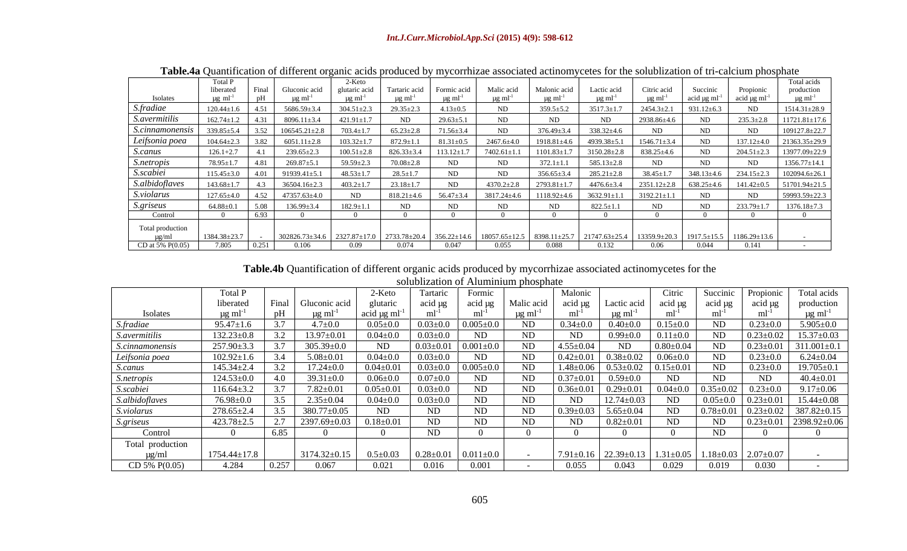### *Int.J.Curr.Microbiol.App.Sci* **(2015) 4(9): 598-612**

|                      | TWO IN CONSIDER OF WILLIAM ORDER PLOWING COMMUNICATIONS WOOD VARIOUS TOTAL SOLWOHERMION OF MT WANTED PRODUCT |     |                                         |                  |                  |                 |                                                                                                                                                                        |                   |                   |                             |          |           |                                                                                                            |
|----------------------|--------------------------------------------------------------------------------------------------------------|-----|-----------------------------------------|------------------|------------------|-----------------|------------------------------------------------------------------------------------------------------------------------------------------------------------------------|-------------------|-------------------|-----------------------------|----------|-----------|------------------------------------------------------------------------------------------------------------|
|                      |                                                                                                              |     |                                         | 2-Keto -         |                  |                 |                                                                                                                                                                        |                   |                   |                             |          |           | Total acids                                                                                                |
|                      | 11 berate                                                                                                    |     |                                         |                  |                  |                 | Tartaric acid   Formic acid   Malic acid   Malonic acid                                                                                                                |                   | Lactic acid       | Citric acid                 | Succinic | Propionic | productio                                                                                                  |
|                      |                                                                                                              |     |                                         |                  |                  |                 |                                                                                                                                                                        |                   |                   |                             |          |           |                                                                                                            |
| S.fradiae            | $120.44+1$                                                                                                   |     |                                         | $304.51 \pm 2.3$ | $29.35 \pm 2.3$  | $4.13 \pm 0.5$  | ND <sub>1</sub>                                                                                                                                                        | $359.5 \pm 5.2$   | $3517.3 \pm 1.7$  | $2454.3 \pm 2.1$            |          |           |                                                                                                            |
| <i>S.avermitilis</i> | $162.74 \pm 1.2$                                                                                             |     | $8096.11 \pm 3.4$                       | $421.91 \pm 1.7$ | ND.              | $29.63 \pm 5.1$ | ND.                                                                                                                                                                    |                   | ND.               | 2938.86±4.6                 | ND.      |           | $11721.81 \pm 17.6$                                                                                        |
|                      | $339.85 \pm 5.4$ $3.52$ $106545.21 \pm 2.8$                                                                  |     |                                         | $703.4 \pm 1.7$  | $65.23 \pm 2.8$  | 71.56±3.4       | ND                                                                                                                                                                     | $376.49 \pm 3.4$  | $338.32 \pm 4.6$  | ND.                         |          |           |                                                                                                            |
| Leifsonia poea       | $104.64 + 2.3$                                                                                               |     | $6051.11 \pm 2.8$ $103.32 \pm 1.7$      |                  |                  |                 |                                                                                                                                                                        |                   |                   |                             | ND.      |           | $137.12 \pm 4.0$ 21363.35 $\pm$ 29.9                                                                       |
| <u>S.canus</u>       |                                                                                                              | 4.1 | $239.65 \pm 2.3$                        | $100.51 \pm 2.8$ |                  |                 | $826.33\pm3.4$   113.12 $\pm$ 1.7   7402.61 $\pm$ 1.1   1101.83 $\pm$ 1.7   3150.28 $\pm$ 2.8   838.25 $\pm$ 4.6                                                       |                   |                   |                             | ND 1     |           | $204.51 \pm 2.3$ 13977.09 $\pm$ 22.9                                                                       |
| S.netropis           | $78.95 \pm 1.7$                                                                                              |     | $269.87 \pm 5.1$                        | $59.59 \pm 2.2$  | $70.08 \pm 2.8$  |                 | ND                                                                                                                                                                     | $3721+1$          | $585.13 \pm 2.8$  | ND.                         |          |           |                                                                                                            |
| S.scabiei            | $115.45 \pm 3.0$                                                                                             |     | $4.01$ 91939.41±5.1 48.53±1.7           |                  | $28.5 + 1.7$     | ND.             | ND                                                                                                                                                                     |                   |                   |                             |          |           | $356.65\pm3.4$ $285.21\pm2.8$ $38.45\pm1.7$ $348.13\pm4.6$ $234.15\pm2.3$ $102094.6\pm26.1$                |
|                      |                                                                                                              |     |                                         |                  |                  |                 |                                                                                                                                                                        |                   |                   |                             |          |           |                                                                                                            |
| S.albidoflaves       | $143.68 \pm 1.7$                                                                                             |     | 36504.16±2.3                            | $403.2+1.7$      | $23.18 + 1.7$    |                 | $4370.2 \pm 2.8$                                                                                                                                                       |                   |                   |                             |          |           | $2793.81 \pm 1.7$ 4476.6 $\pm 3.4$ 2351.12 $\pm 2.8$ 638.25 $\pm 4.6$ 141.42 $\pm 0.5$ 51701.94 $\pm 21.5$ |
| S.violarus           | $127.65 \pm 4.0$                                                                                             |     |                                         | ND.              | $818.21 \pm 4.6$ |                 | $56.47 \pm 3.4$ $3817.24 \pm 4.6$                                                                                                                                      | $1118.92 \pm 4.6$ | $3632.91 \pm 1.1$ | $\frac{1}{2}$ 1 3192.21±1.1 | ND.      |           |                                                                                                            |
| <i>S.griseus</i>     | $64.88 \pm 0.1$ $5.08$ $136.99 \pm 3.4$                                                                      |     |                                         | $182.9 \pm 1.1$  | ND.              |                 | ND.                                                                                                                                                                    |                   | 822.5+1.1         | ND.                         | ND.      |           | $233.79 \pm 1.7$ 1376.18 $\pm 7.3$                                                                         |
| Control              |                                                                                                              |     |                                         |                  |                  |                 |                                                                                                                                                                        |                   |                   |                             |          |           |                                                                                                            |
| Total production     |                                                                                                              |     |                                         |                  |                  |                 |                                                                                                                                                                        |                   |                   |                             |          |           |                                                                                                            |
|                      | 1384.38±23.                                                                                                  |     | $302826.73 \pm 34.6$ 2327.87 $\pm$ 17.0 |                  |                  |                 | $\frac{2733.78\pm20.4}{1356.22\pm14.6}$   18057.65 $\pm$ 12.5   8398.11 $\pm$ 25.7   21747.63 $\pm$ 25.4   13359.9 $\pm$ 20.3   1917.5 $\pm$ 15.5   1186.29 $\pm$ 13.6 |                   |                   |                             |          |           |                                                                                                            |
| CD at 5% $P(0.05)$   | 7.805                                                                                                        |     |                                         | 0.09             |                  | 0.047           | 0.055                                                                                                                                                                  | 0.088             | 0.132             | 0.06                        | 0.044    | 0.141     |                                                                                                            |

**Table.4a** Quantification of different organic acids produced by mycorrhizae associated actinomycetes for the solublization of tri-calcium phosphate

**Table.4b** Quantification of different organic acids produced by mycorrhizae associated actinomycetes for the solublization of Aluminium phosphate

|                             | Total P            |             |                    | 2-Keto          |                 | Formic            | _____      | Malonio         |                                 | Citric          |         |                                 | Total acids       |
|-----------------------------|--------------------|-------------|--------------------|-----------------|-----------------|-------------------|------------|-----------------|---------------------------------|-----------------|---------|---------------------------------|-------------------|
|                             | liberated          | Final       | Gluconic acid      | glutaric        | acid ug         | acid ug           | Malic acid | acid ug         | Lactic acid $\vert$             | acid µg         | acid µg | acid µg                         | production        |
| <b>Isolates</b>             |                    |             |                    |                 |                 |                   |            |                 |                                 |                 |         |                                 |                   |
| S.fradiae                   | $95.47 \pm 1.6$    |             | $4.7 \pm 0.0$      | $0.05 \pm 0.0$  | $0.03 \pm 0.0$  | $0.005\pm$        | ND         | $0.34 \pm 0.0$  | $0.40{\pm}0.0$                  | $0.15{\pm}0.0$  | ND      | $0.23 \pm 0.0$                  | $5.905 \pm 0.0$   |
| <i>S.avermitilis</i>        | $132.23 \pm 0.8$   |             | $13.97 \pm 0.01$   | $0.04{\pm}0.0$  | $0.03{\pm}0.0$  | ND                | ND.        | ND              | $0.99{\pm}0.0$                  | $0.11{\pm}0.0$  | ND      | $0.23 \pm 0.02$                 | $15.37 \pm 0.03$  |
| S.cinnamonensis             | 257.90±3.3         |             | $305.39 \pm 0.0$   | ND              | $0.03 \pm 0.01$ | $0.001 \pm$       | ND.        | $4.55 \pm 0.04$ | ND                              | $0.80 \pm 0.04$ |         | $0.23 \pm 0.01$                 | $311.001 \pm 0.1$ |
| Leifsonia poea              | $102.92 \pm 1.6$   |             | $5.08 \pm 0.01$    | $0.04{\pm}0.0$  | $0.03 \pm 0.0$  | ND.               | ND.        |                 | $0.42 \pm 0.01$ 0.38 $\pm$ 0.02 | $0.06 \pm 0.0$  | ND      | $0.23 \pm 0.0$                  | $6.24 \pm 0.04$   |
| <i>S.canus</i>              | $145.34 \pm 2.4$   |             | $17.24 \pm 0.0$    | $0.04 \pm 0.01$ | $0.03 \pm 0.0$  | $0.005 \pm 0.005$ | ND         |                 | $1.48 \pm 0.06$ 0.53 $\pm$ 0.02 | $0.15 \pm 0.01$ | ND      | $0.23 \pm 0.0$                  | $19.705 \pm 0.1$  |
| <i>S.netropis</i>           | $124.53 \pm 0.0$   | $\vert$ 4.0 | $39.31 \pm 0.0$    | $0.06{\pm}0.0$  | $0.07{\pm}0.0$  | ND                | ND         | $0.37 \pm 0.01$ | $0.59 \pm 0.0$                  | ND              | ND      |                                 | $40.4 \pm 0.01$   |
|                             | $116.64 \pm 3.2$   |             | $7.82 \pm 0.01$    | $0.05 \pm 0.01$ | $0.03 \pm 0.0$  | ND                | ND         | $0.36 \pm 0.01$ | $0.29 \pm 0.01$                 | $0.04{\pm}0.0$  |         | $0.35 \pm 0.02$ 0.23 $\pm 0.0$  |                   |
| S.scabiei<br>S.albidoflaves | 76.98±0.0          |             | $2.35 \pm 0.04$    | $0.04 \pm 0.0$  | $0.03 \pm 0.0$  | ND                | ND         | ND              | $12.74 \pm 0.03$                | ND              |         | $0.05 \pm 0.0$ $0.23 \pm 0.01$  | $15.44 \pm 0.08$  |
| S.violarus                  | $278.65 \pm 2.4$   |             | 380.77±0.05        | ND              |                 |                   |            |                 | $5.65 \pm 0.04$                 | ND              |         | $0.78 \pm 0.01$ 0.23 $\pm 0.02$ | 387.82 $\pm$ 0.15 |
| <i>S.griseus</i>            | $423.78 \pm 2.5$   |             | 2397.69±0.03       | $0.18 \pm 0.01$ |                 | ND.               | ND         | ND              | $0.82 \pm 0.01$                 | ND.             | ND      | $0.23 \pm 0.01$                 |                   |
| Control                     |                    | 6.85        |                    |                 |                 |                   |            |                 |                                 |                 |         |                                 |                   |
| Total production            |                    |             |                    |                 |                 |                   |            |                 |                                 |                 |         |                                 |                   |
|                             | $1754.44 \pm 17.8$ |             | $3174.32 \pm 0.15$ | $0.5 \pm 0.03$  | $0.28 \pm 0.01$ |                   |            | 7.91±0.16       | 22.39±0.13   1                  | $1.31 \pm 0.05$ |         | $1.18 \pm 0.03$ 2.07 $\pm$ 0.07 |                   |
| CD 5% $P(0.05)$             | 4.284              | 0.257       | 0.067              | 0.021           |                 |                   |            | 0.055           | 0.043                           | 0.029           |         | 0.030                           |                   |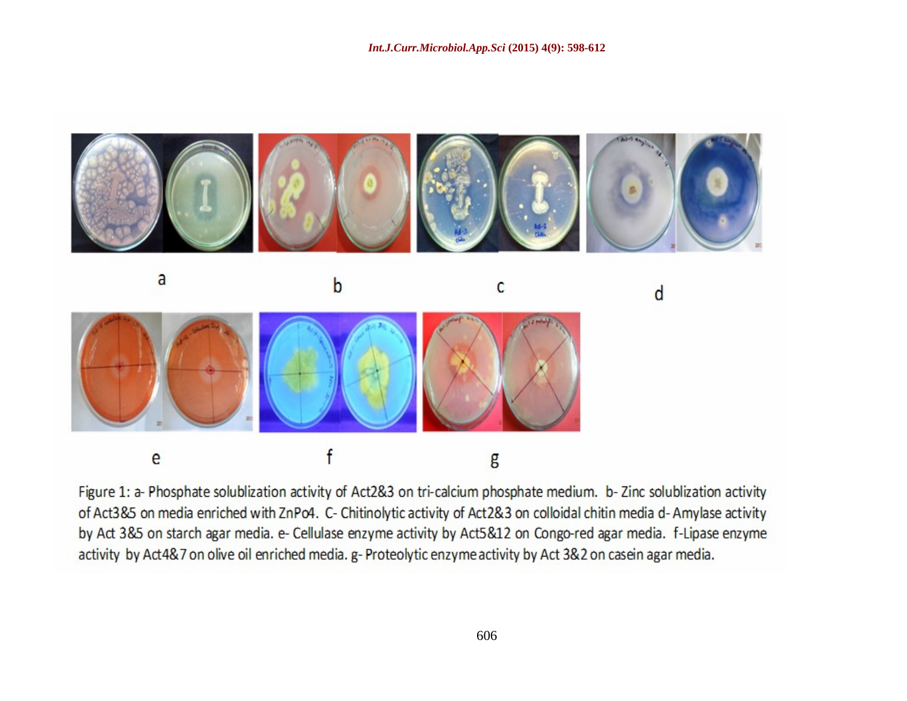

Figure 1: a- Phosphate solublization activity of Act2&3 on tri-calcium phosphate medium. b- Zinc solublization activity of Act385 on media enriched with ZnPo4. C- Chitinolytic activity of Act28.3 on colloidal chitin media d-Amylase activity by Act 3&5 on starch agar media. e- Cellulase enzyme activity by Act5&12 on Congo-red agar media. f-Lipase enzyme activity by Act4&7 on olive oil enriched media. g-Proteolytic enzyme activity by Act 3&2 on casein agar media.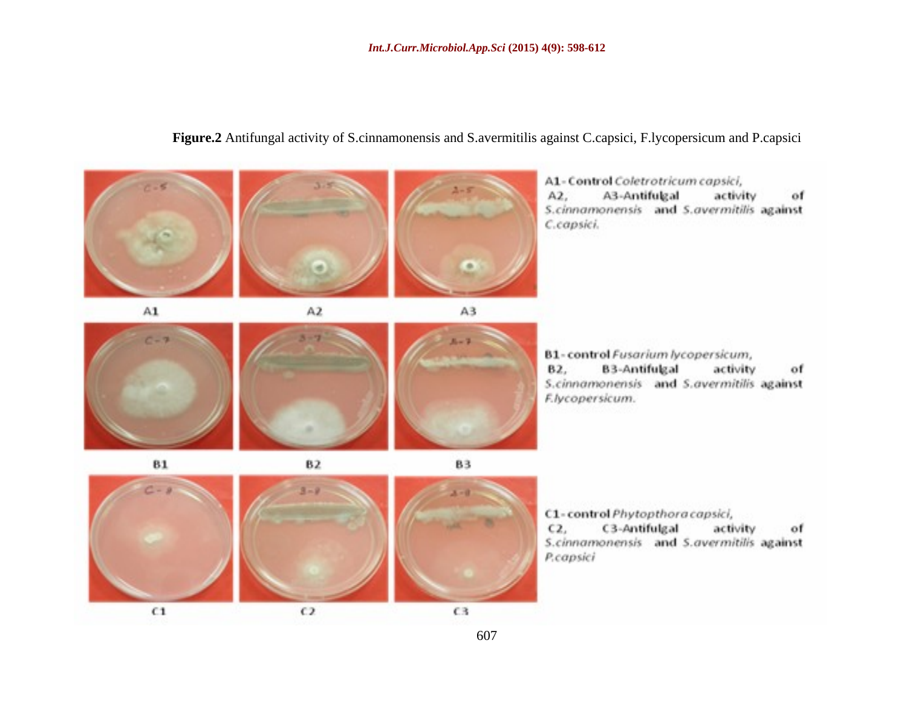## A1-Control Coletrotricum capsici,  $A2.$ A3-Antifulgal activity of S.cinnamonensis and S.avermitilis against C.capsici.  $\Delta \mathbf{1}$  $A2$  $A3$ B1-control Fusarium lycopersicum, 82. **B3-Antifulgal** activity: of S.cinnamonensis and S.avermitilis against F.lycopersicum. 81 83 82 C1-control Phytopthora capsici,  $C2.$ C3-Antifulgal activity of S.cinnamonensis and S.avermitilis against P.capsici  $C1$  $C2$ C3

## **Figure.2** Antifungal activity of S.cinnamonensis and S.avermitilis against C.capsici, F.lycopersicum and P.capsici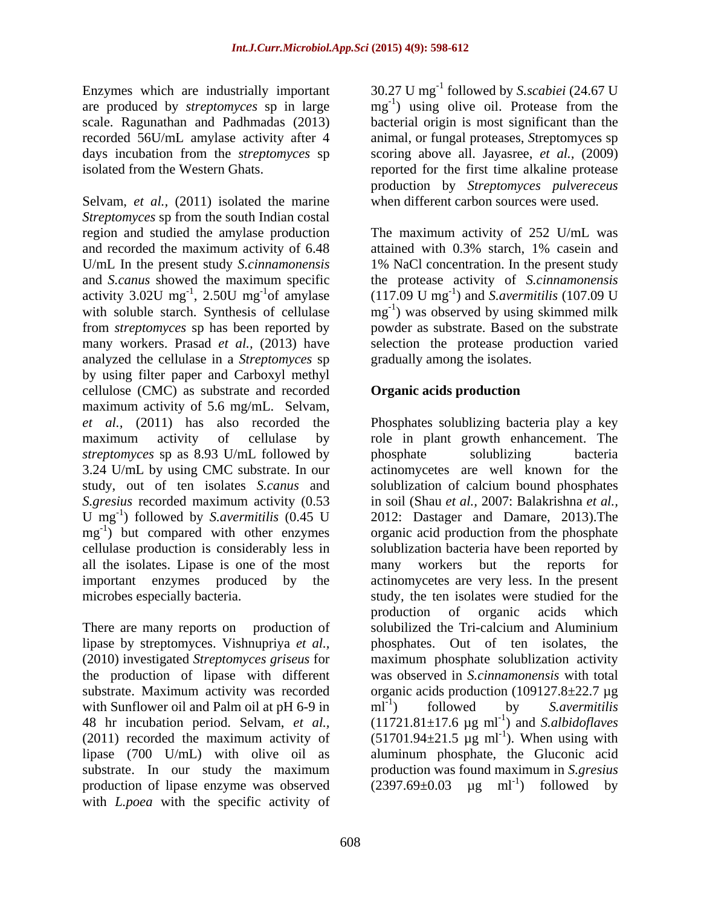scale. Ragunathan and Padhmadas (2013)

Selvam, *et al.,* (2011) isolated the marine *Streptomyces* sp from the south Indian costal region and studied the amylase production and recorded the maximum activity of 6.48 attained with 0.3% starch, 1% casein and U/mL In the present study *S.cinnamonensis* 1% NaCl concentration. In the present study and *S.canus* showed the maximum specific the protease activity of *S.cinnamonensis*  activity 3.02U mg<sup>-1</sup>, 2.50U mg<sup>-1</sup>of amylase with soluble starch. Synthesis of cellulase from *streptomyces* sp has been reported by powder as substrate. Based on the substrate many workers. Prasad *et al.,* (2013) have selection the protease production varied analyzed the cellulase in a *Streptomyces* sp by using filter paper and Carboxyl methyl cellulose (CMC) as substrate and recorded maximum activity of 5.6 mg/mL. Selvam, *et al.,* (2011) has also recorded the Phosphates solublizing bacteria play a key maximum activity of cellulase by role in plant growth enhancement. The *streptomyces* sp as 8.93 U/mL followed by 3.24 U/mL by using CMC substrate. In our study, out of ten isolates *S.canus* and solublization of calcium bound phosphates *S.gresius* recorded maximum activity (0.53 in soil (Shau *et al.,* 2007: Balakrishna *et al.,* U mg<sup>-1</sup>) followed by *S.avermitilis* (0.45 U 2012: Dastager and Damare, 2013). The mg ) but compared with other enzymes organic acid production from the phosphate  $mg^{-1}$ ) but compared with other enzymes cellulase production is considerably less in solublization bacteria have been reported by all the isolates. Lipase is one of the most many workers but the reports for important enzymes produced by the actinomycetes are very less. In the present microbes especially bacteria. The study, the ten isolates were studied for the

There are many reports on production of solubilized the Tri-calcium and Aluminium lipase by streptomyces. Vishnupriya *et al.,* (2010) investigated *Streptomyces griseus* for maximum phosphate solublization activity the production of lipase with different was observed in *S.cinnamonensis* with total substrate. Maximum activity was recorded organic acids production (109127.8±22.7 µg with Sunflower oil and Palm oil at  $pH$  6-9 in  $ml^{-1}$  followed by S. avermitilis 48 hr incubation period. Selvam, *et al.*,  $(11721.81 \pm 17.6 \mu g \text{ ml}^{-1})$  and S.albidoflaves (2011) recorded the maximum activity of  $(51701.94 \pm 21.5 \text{ µg ml}^{-1})$ . When using with lipase (700 U/mL) with olive oil as aluminum phosphate, the Gluconic acid substrate. In our study the maximum production was found maximum in S. gresius production of lipase enzyme was observed  $(2397.69 \pm 0.03 \text{ µg} \text{ ml}^{-1})$  followed by with *L.poea* with the specific activity of

Enzymes which are industrially important 30.27 U mg<sup>-1</sup> followed by *S.scabiei* (24.67 U are produced by *streptomyces* sp in large mg<sup>-1</sup>) using olive oil. Protease from the recorded 56U/mL amylase activity after 4 animal, or fungal proteases, *S*treptomyces sp days incubation from the *streptomyces* sp scoring above all. Jayasree, *et al.,* (2009) isolated from the Western Ghats. reported for the first time alkaline protease ) using olive oil. Protease from the bacterial origin is most significant than the production by *Streptomyces pulvereceus* when different carbon sources were used.

<sup>-1</sup>, 2.50U mg<sup>-1</sup> of amylase  $(117.09 \text{ U mg}^{-1})$  and S. avermitilis (107.09 U The maximum activity of 252 U/mL was ) and *S.avermitilis* (107.09 U mg<sup>-1</sup>) was observed by using skimmed milk gradually among the isolates.

## **Organic acids production**

phosphate solublizing bacteria actinomycetes are well known for the many workers but the reports for production of organic acids which solubilized the Tri-calcium and Aluminium phosphates. Out of ten isolates, the  $ml^{-1}$ ) followed by S. avermitilis ) followed by *S.avermitilis*  ) and *S.albidoflaves*  ). When using with production was found maximum in *S.gresius* ) followed by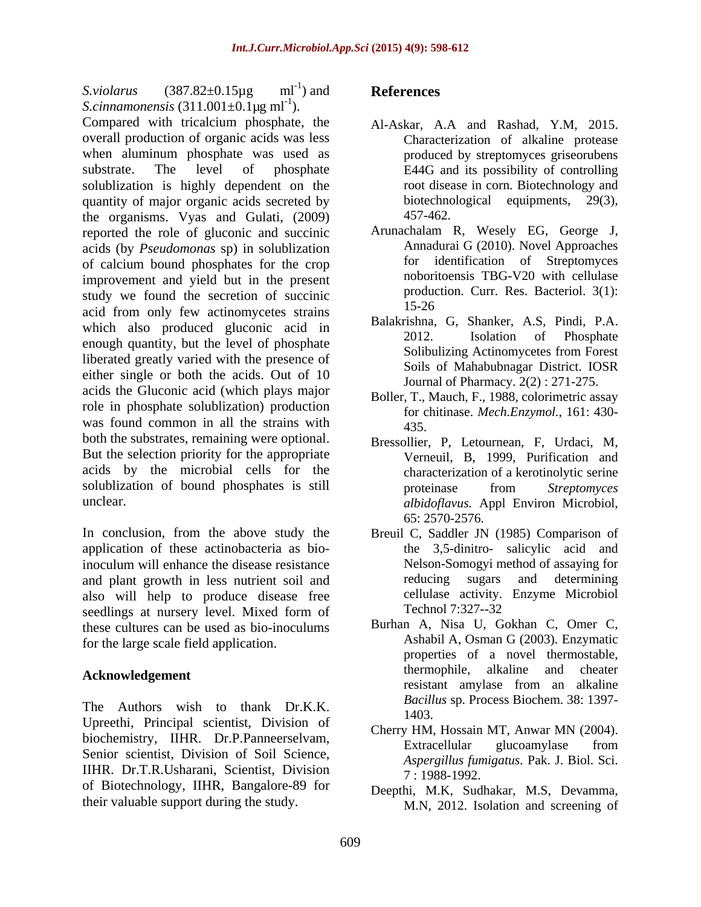*S.violarus*  $(387.82 \pm 0.15 \mu g$  ml<sup>-1</sup>) and **References** *S.cinnamonensis*  $(311.001 \pm 0.1 \,\text{kg m}^{-1})$ . ). Compared with tricalcium phosphate, the overall production of organic acids was less when aluminum phosphate was used as substrate. The level of phosphate E44G and its possibility of controlling solublization is highly dependent on the quantity of major organic acids secreted by<br>the organisms Vyas and Gulati (2009) 457-462. the organisms. Vyas and Gulati, (2009) reported the role of gluconic and succinic acids (by *Pseudomonas* sp) in solublization of calcium bound phosphates for the crop improvement and yield but in the present study we found the secretion of succinic production of  $\frac{15-26}{15-26}$ acid from only few actinomycetes strains which also produced gluconic acid in Balakrishna, G, Shanker, A.S, Pindi, P.A.<br>2012. Isolation of Phosphate enough quantity, but the level of phosphate<br>Solibulizing Actinomycetes from Forest liberated greatly varied with the presence of either single or both the acids. Out of 10 acids the Gluconic acid (which plays major role in phosphate solublization) production was found common in all the strains with  $\frac{101 \text{ eV}}{435}$ both the substrates, remaining were optional. But the selection priority for the appropriate acids by the microbial cells for the solublization of bound phosphates is still proteinase from Streptomyces unclear. *albidoflavus.* Appl Environ Microbiol,

In conclusion, from the above study the Breuil C, Saddler JN (1985) Comparison of application of these actinobacteria as bioinoculum will enhance the disease resistance<br>and plant growth in less nutrient soil and<br>reducing sugars and determining and plant growth in less nutrient soil and also will help to produce disease free ellulase activity.<br>
seedlings at nursery level Mixed form of Technol 7:327--32 seedlings at nursery level. Mixed form of Technol 7:327--32 these cultures can be used as bio-inoculums for the large scale field application.

The Authors wish to thank Dr.K.K. Bucht 1403. Upreethi, Principal scientist, Division of biochemistry, IIHR. Dr.P.Panneerselvam, Extracellular glucoamylase from Senior scientist, Division of Soil Science, IIHR. Dr.T.R.Usharani, Scientist, Division of Biotechnology, IIHR, Bangalore-89 for their valuable support during the study.

### ) and **References References**

- Al-Askar, A.A and Rashad, Y.M, 2015. Characterization of alkaline protease produced by streptomyces griseorubens root disease in corn. Biotechnology and biotechnological equipments, 29(3), 457-462.
- Arunachalam R, Wesely EG, George J, Annadurai G (2010). Novel Approaches for identification of Streptomyces noboritoensis TBG-V20 with cellulase production. Curr. Res. Bacteriol. 3(1): 15-26
- Balakrishna, G, Shanker, A.S, Pindi, P.A. 2012. Isolation of Phosphate Solibulizing Actinomycetes from Forest Soils of Mahabubnagar District. IOSR Journal of Pharmacy. 2(2) : 271-275.
- Boller, T., Mauch, F., 1988, colorimetric assay for chitinase. *Mech.Enzymol.,* 161: 430- 435.
- Bressollier, P, Letournean, F, Urdaci, M, Verneuil, B, 1999, Purification and characterization of a kerotinolytic serine proteinase from *Streptomyces*  65: 2570-2576.
- the 3,5-dinitro- salicylic acid and Nelson-Somogyi method of assaying for reducing sugars and determining cellulase activity. Enzyme Microbiol Technol 7:327--32
- **Acknowledgement** thermophile, alkaline and cheater resistant amylase from an alkaline Burhan A, Nisa U, Gokhan C, Omer C, Ashabil A, Osman G (2003). Enzymatic properties of a novel thermostable, thermophile, alkaline and resistant amylase from an alkaline *Bacillus* sp. Process Biochem. 38: 1397- 1403.
	- Cherry HM, Hossain MT, Anwar MN (2004). Extracellular glucoamylase from *Aspergillus fumigatus.* Pak. J. Biol. Sci. 7 : 1988-1992.
	- Deepthi, M.K, Sudhakar, M.S, Devamma, M.N, 2012. Isolation and screening of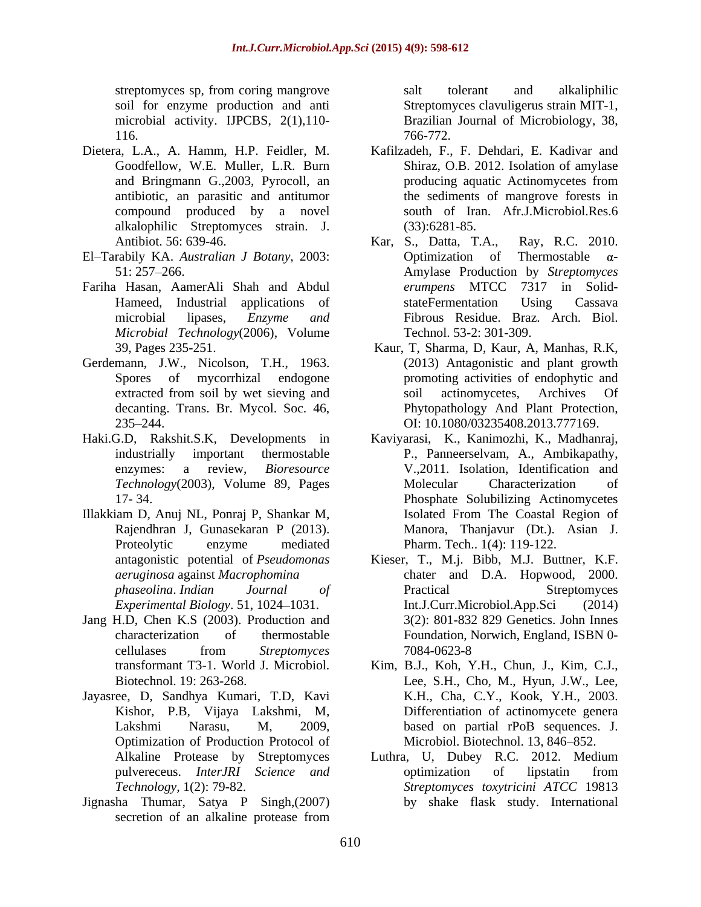- compound produced by a novel alkalophilic Streptomyces strain. J.
- 
- Fariha Hasan, AamerAli Shah and Abdul *Microbial Technology*(2006), Volume
- Gerdemann, J.W., Nicolson, T.H., 1963.
- Haki.G.D, Rakshit.S.K, Developments in
- Illakkiam D, Anuj NL, Ponraj P, Shankar M,
- Jang H.D, Chen K.S (2003). Production and
- Jayasree, D, Sandhya Kumari, T.D, Kavi Optimization of Production Protocol of
- Jignasha Thumar, Satya P Singh,(2007) secretion of an alkaline protease from

streptomyces sp, from coring mangrove salt tolerant and alkaliphilic soil for enzyme production and anti Streptomyces clavuligerus strain MIT-1, microbial activity. IJPCBS, 2(1),110- Brazilian Journal of Microbiology, 38, 116. 2004. The contract of the contract of the contract of the contract of the contract of the contract of the contract of the contract of the contract of the contract of the contract of the contract of the contract of the salt tolerant and alkaliphilic 766-772.

- Dietera, L.A., A. Hamm, H.P. Feidler, M. Kafilzadeh, F., F. Dehdari, E. Kadivar and Goodfellow, W.E. Muller, L.R. Burn Shiraz, O.B. 2012. Isolation of amylase and Bringmann G.,2003, Pyrocoll, an antibiotic, an parasitic and antitumor the sediments of mangrove forests in producing aquatic Actinomycetes from south of Iran. Afr.J.Microbiol.Res.6 (33):6281-85.
- Antibiot. 56: 639-46. Kar, S., Datta, T.A., Ray, R.C. 2010. El-Tarabily KA. *Australian J Botany*, 2003: Ο Optimization of Thermostable α-51: 257 266. Amylase Production by *Streptomyces*  Hameed, Industrial applications of stateFermentation Using Cassava microbial lipases, *Enzyme and* Fibrous Residue. Braz. Arch. Biol. Optimization of Thermostable  $\alpha$ *erumpens* MTCC 7317 in Solid stateFermentation Using Cassava Technol. 53-2: 301-309.
	- 39, Pages 235-251. Kaur, T, Sharma, D, Kaur, A, Manhas, R.K, Spores of mycorrhizal endogone promoting activities of endophytic and extracted from soil by wet sieving and soil actinomycetes, Archives Of decanting. Trans. Br. Mycol. Soc. 46, Phytopathology And Plant Protection, 235–244. CI: 10.1080/03235408.2013.777169. (2013) Antagonistic and plant growth soil actinomycetes, Archives Of Phytopathology And Plant Protection,<br>OI: 10.1080/03235408.2013.777169.
	- industrially important thermostable P., Panneerselvam, A., Ambikapathy, enzymes: a review, *Bioresource*  V.,2011. Isolation, Identification and *Technology*(2003), Volume 89, Pages 17- 34. Phosphate Solubilizing Actinomycetes Rajendhran J, Gunasekaran P (2013). Manora, Thanjavur (Dt.). Asian J. Proteolytic enzyme mediated Pharm. Tech.. 1(4): 119-122. Kaviyarasi, K., Kanimozhi, K., Madhanraj, Molecular Characterization of Isolated From The Coastal Region of Pharm. Tech.. 1(4): 119-122.
	- antagonistic potential of *Pseudomonas* Kieser, T., M.j. Bibb, M.J. Buttner, K.F. *aeruginosa* against *Macrophomina* chater and D.A. Hopwood, 2000. *phaseolina*. *Indian Journal of Experimental Biology.* 51, 1024–1031. Int.J.Curr.Microbiol.App.Sci (2014) characterization of thermostable Foundation, Norwich, England, ISBN 0 cellulases from *Streptomyces*  Practical Streptomyces Int.J.Curr.Microbiol.App.Sci 3(2): 801-832 829 Genetics. John Innes 7084-0623-8
	- transformant T3-1. World J. Microbiol. Kim, B.J., Koh, Y.H., Chun, J., Kim, C.J., Biotechnol. 19: 263-268. Lee, S.H., Cho, M., Hyun, J.W., Lee, Kishor, P.B, Vijaya Lakshmi, M, Differentiation of actinomycete genera Lakshmi Narasu, M, 2009, based on partial rPoB sequences. J. K.H., Cha, C.Y., Kook, Y.H., 2003. Microbiol. Biotechnol. 13, 846–852.
	- Alkaline Protease by Streptomyces Luthra, U, Dubey R.C. 2012. Medium pulvereceus. *InterJRI Science and Technology,* 1(2): 79-82. *Streptomyces toxytricini ATCC* 19813 optimization of lipstatin from by shake flask study. International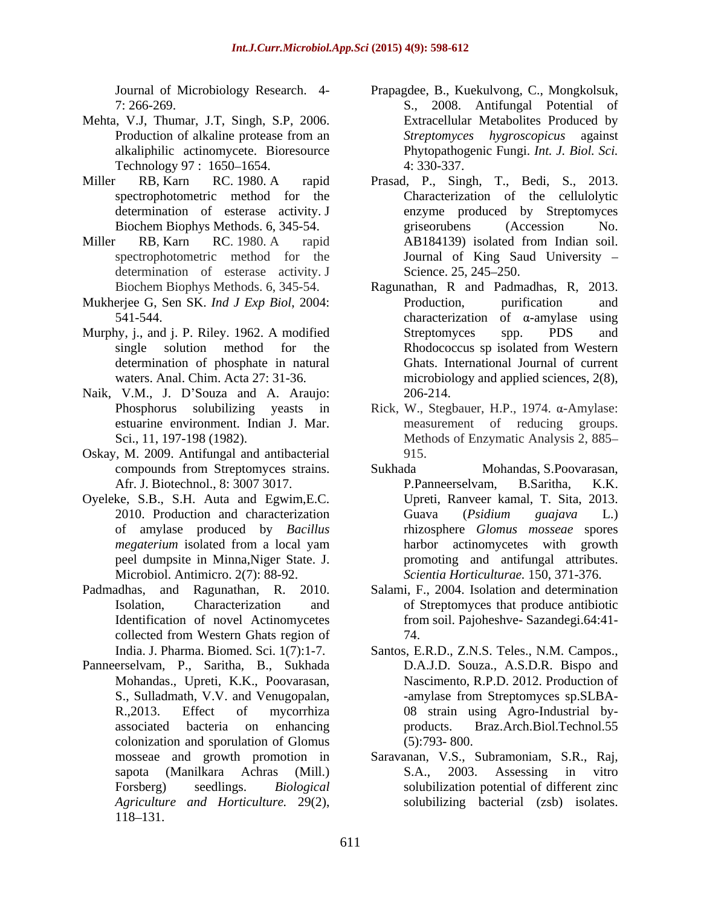- Mehta, V.J, Thumar, J.T, Singh, S.P, 2006. Technology 97 : 1650–1654. 4: 330-337.
- determination of esterase activity. J
- determination of esterase activity. J Science. 25, 245–250.
- Mukherjee G, Sen SK. *Ind J Exp Biol*, 2004:
- Murphy, *i.*, and *j. P.* Riley. 1962. A modified Streptomyces spp. PDS and determination of phosphate in natural
- Naik, V.M., J. D'Souza and A. Araujo: 206-214.
- Oskay, M. 2009. Antifungal and antibacterial
- Oyeleke, S.B., S.H. Auta and Egwim,E.C.
- 
- Panneerselvam, P., Saritha, B., Sukhada colonization and sporulation of Glomus (5):793-800. 118–131.
- Journal of Microbiology Research. 4- Prapagdee, B., Kuekulvong,C., Mongkolsuk, 7: 266-269. S., 2008. Antifungal Potential of Production of alkaline protease from an Streptomyces hygroscopicus against alkaliphilic actinomycete. Bioresource Phytopathogenic Fungi. *Int. J. Biol. Sci.* Extracellular Metabolites Produced by *Streptomyces hygroscopicus* against 4: 330-337.
- Miller RB, Karn RC. 1980. A rapid Prasad, P., Singh, T., Bedi, S., 2013. spectrophotometric method for the Characterization of the cellulolytic Biochem Biophys Methods. 6, 345-54. The express grise or a grise or  $A$  crossion  $A$ . Miller RB, Karn RC. 1980. A rapid AB184139) isolated from Indian soil. spectrophotometric method for the Journal of King Saud University enzyme produced by Streptomyces griseorubens (Accession No. AB184139) isolated from Indian soil. Science. 25, 245–250.
	- Biochem Biophys Methods. 6, 345-54. Ragunathan, R and Padmadhas, R, 2013.  $541-544$ . Characterization of  $\alpha$ -amylase using single solution method for the Rhodococcus sp isolated from Western waters. Anal. Chim. Acta 27: 31-36. microbiology and applied sciences, 2(8), Production, purification and Streptomyces spp. PDS and Rhodococcus sp isolated from Western Ghats. International Journal of current 206-214.
	- Phosphorus solubilizing yeasts in Rick, W., Stegbauer, H.P., 1974. a-Amylase: estuarine environment. Indian J. Mar. measurement of reducing groups. Sci., 11, 197-198 (1982). Methods of Enzymatic Analysis 2, 885 915.
	- compounds from Streptomyces strains. Afr. J. Biotechnol., 8: 3007 3017. P. P. P. Panneerselvam, B. Saritha, K.K. 2010. Production and characterization Guava (*Psidium guajava* L.) of amylase produced by *Bacillus*  rhizosphere *Glomus mosseae* spores *megaterium* isolated from a local yam harbor actinomycetes with growth peel dumpsite in Minna, Niger State. J. promoting and antifungal attributes. Microbiol. Antimicro. 2(7): 88-92. *Scientia Horticulturae.* 150, 371-376. Sukhada Mohandas, S.Poovarasan, P.Panneerselvam, B.Saritha, K.K. Upreti, Ranveer kamal, T. Sita, 2013. Guava (*Psidium guajava* L.) harbor actinomycetes with growth
- Padmadhas, and Ragunathan, R. 2010. Salami, F., 2004. Isolation and determination Isolation, Characterization and of Streptomyces that produce antibiotic Identification of novel Actinomycetes from soil. Pajoheshve- Sazandegi.64:41 collected from Western Ghats region of  $74$ . 74.
	- India. J. Pharma. Biomed. Sci. 1(7):1-7. Santos, E.R.D., Z.N.S. Teles., N.M. Campos., Mohandas., Upreti, K.K., Poovarasan, Nascimento, R.P.D. 2012. Production of S., Sulladmath, V.V. and Venugopalan, The amylase from Streptomyces sp.SLBA-R.,2013. Effect of mycorrhiza 08 strain using Agro-Industrial by associated bacteria on enhancing D.A.J.D. Souza., A.S.D.R. Bispo and products. Braz.Arch.Biol.Technol.55 (5):793- 800.
	- mosseae and growth promotion in Saravanan, V.S., Subramoniam, S.R., Raj, sapota (Manilkara Achras (Mill.) Forsberg) seedlings. *Biological*  solubilization potential of different zinc *Agriculture and Horticulture.* 29(2), solubilizing bacterial (zsb) isolates.S.A., 2003. Assessing in vitro